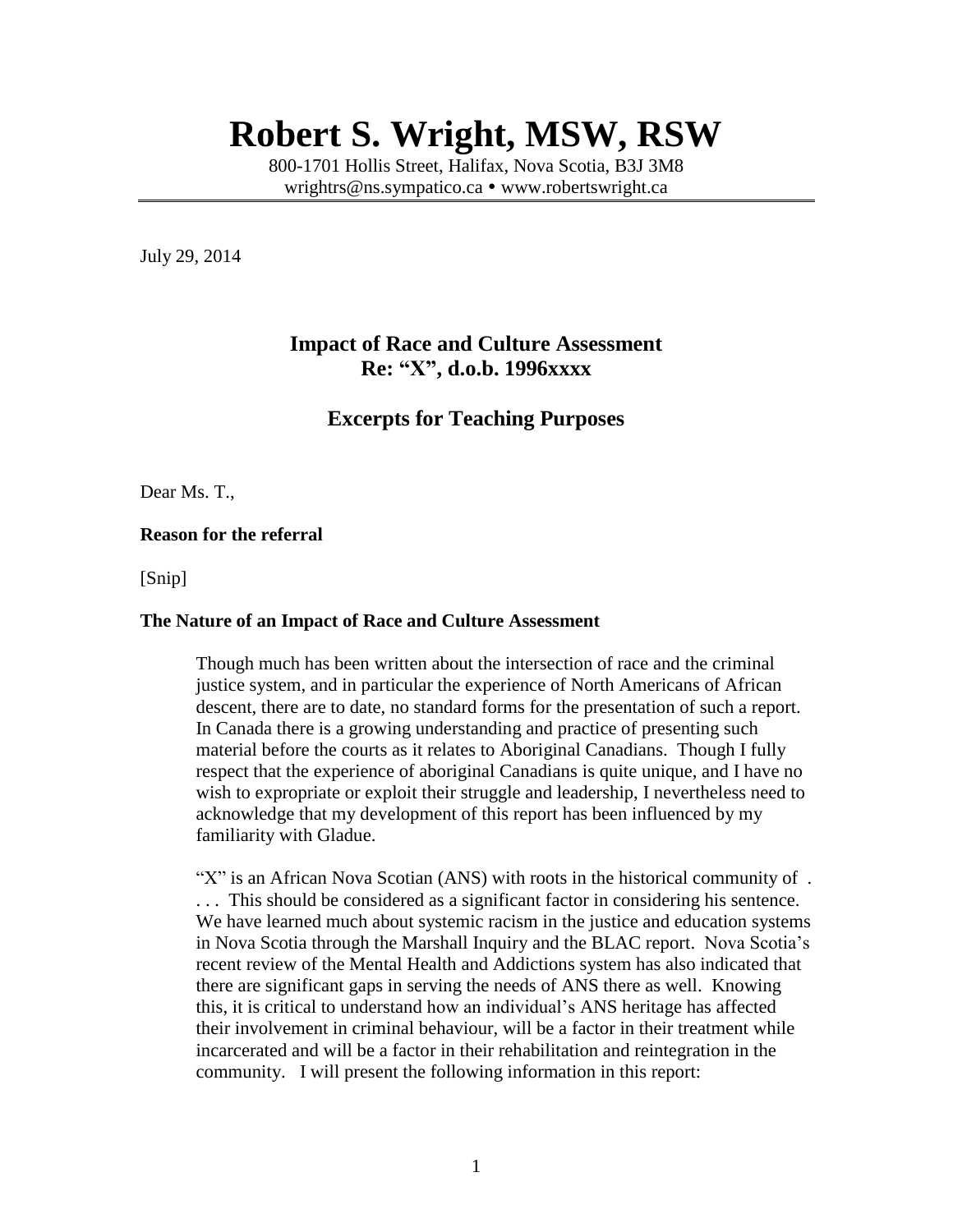# **Robert S. Wright, MSW, RSW**

800-1701 Hollis Street, Halifax, Nova Scotia, B3J 3M8 [wrightrs@ns.sympatico.ca](mailto:wrightrs@ns.sympatico.ca) • [www.robertswright.ca](http://www.robertswright.ca/)

July 29, 2014

# **Impact of Race and Culture Assessment Re: "X", d.o.b. 1996xxxx**

## **Excerpts for Teaching Purposes**

Dear Ms. T.,

#### **Reason for the referral**

[Snip]

#### **The Nature of an Impact of Race and Culture Assessment**

Though much has been written about the intersection of race and the criminal justice system, and in particular the experience of North Americans of African descent, there are to date, no standard forms for the presentation of such a report. In Canada there is a growing understanding and practice of presenting such material before the courts as it relates to Aboriginal Canadians. Though I fully respect that the experience of aboriginal Canadians is quite unique, and I have no wish to expropriate or exploit their struggle and leadership, I nevertheless need to acknowledge that my development of this report has been influenced by my familiarity with Gladue.

"X" is an African Nova Scotian (ANS) with roots in the historical community of . . . . This should be considered as a significant factor in considering his sentence. We have learned much about systemic racism in the justice and education systems in Nova Scotia through the Marshall Inquiry and the BLAC report. Nova Scotia's recent review of the Mental Health and Addictions system has also indicated that there are significant gaps in serving the needs of ANS there as well. Knowing this, it is critical to understand how an individual's ANS heritage has affected their involvement in criminal behaviour, will be a factor in their treatment while incarcerated and will be a factor in their rehabilitation and reintegration in the community. I will present the following information in this report: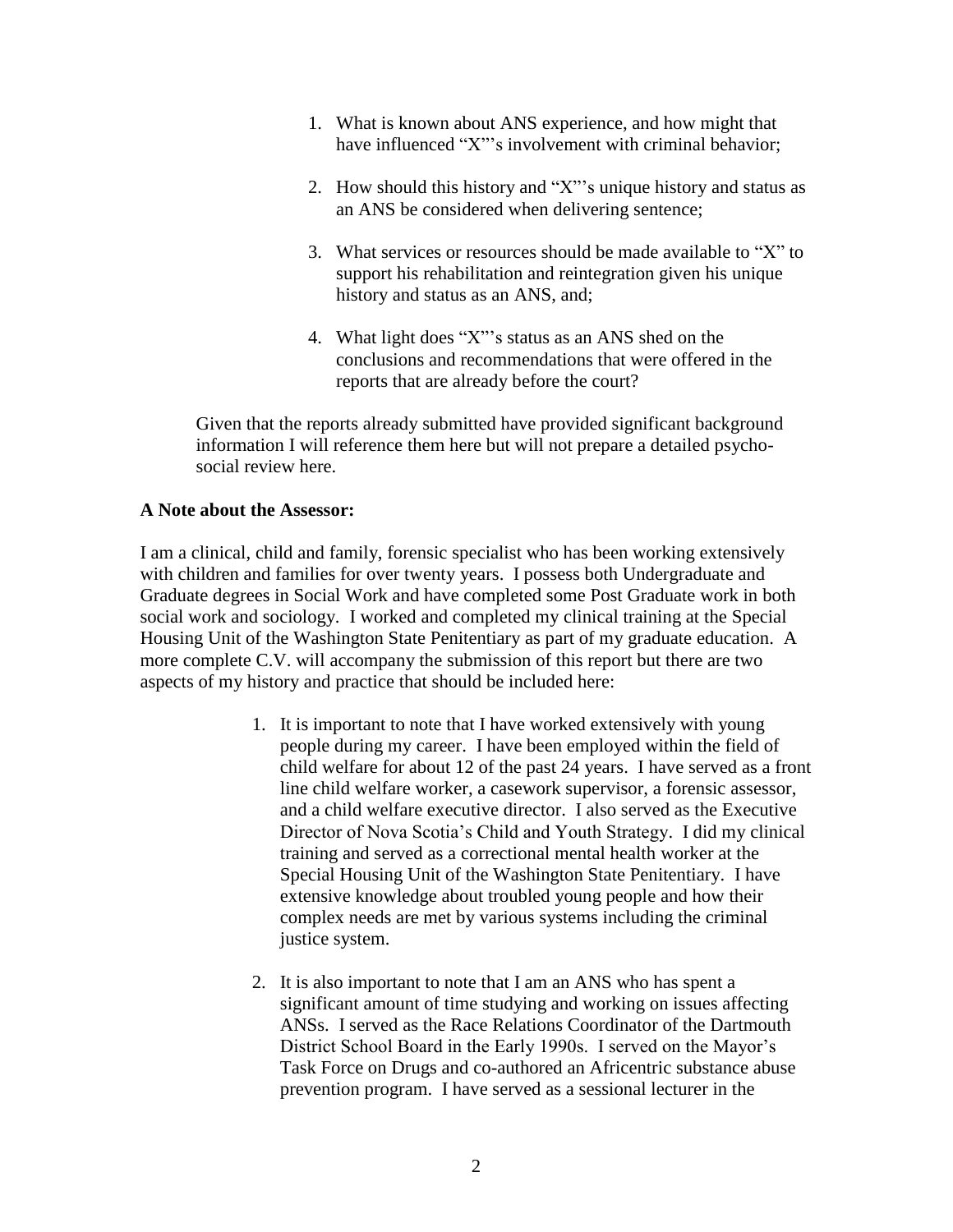- 1. What is known about ANS experience, and how might that have influenced "X"'s involvement with criminal behavior;
- 2. How should this history and "X"'s unique history and status as an ANS be considered when delivering sentence;
- 3. What services or resources should be made available to "X" to support his rehabilitation and reintegration given his unique history and status as an ANS, and;
- 4. What light does "X"'s status as an ANS shed on the conclusions and recommendations that were offered in the reports that are already before the court?

Given that the reports already submitted have provided significant background information I will reference them here but will not prepare a detailed psychosocial review here.

## **A Note about the Assessor:**

I am a clinical, child and family, forensic specialist who has been working extensively with children and families for over twenty years. I possess both Undergraduate and Graduate degrees in Social Work and have completed some Post Graduate work in both social work and sociology. I worked and completed my clinical training at the Special Housing Unit of the Washington State Penitentiary as part of my graduate education. A more complete C.V. will accompany the submission of this report but there are two aspects of my history and practice that should be included here:

- 1. It is important to note that I have worked extensively with young people during my career. I have been employed within the field of child welfare for about 12 of the past 24 years. I have served as a front line child welfare worker, a casework supervisor, a forensic assessor, and a child welfare executive director. I also served as the Executive Director of Nova Scotia's Child and Youth Strategy. I did my clinical training and served as a correctional mental health worker at the Special Housing Unit of the Washington State Penitentiary. I have extensive knowledge about troubled young people and how their complex needs are met by various systems including the criminal justice system.
- 2. It is also important to note that I am an ANS who has spent a significant amount of time studying and working on issues affecting ANSs. I served as the Race Relations Coordinator of the Dartmouth District School Board in the Early 1990s. I served on the Mayor's Task Force on Drugs and co-authored an Africentric substance abuse prevention program. I have served as a sessional lecturer in the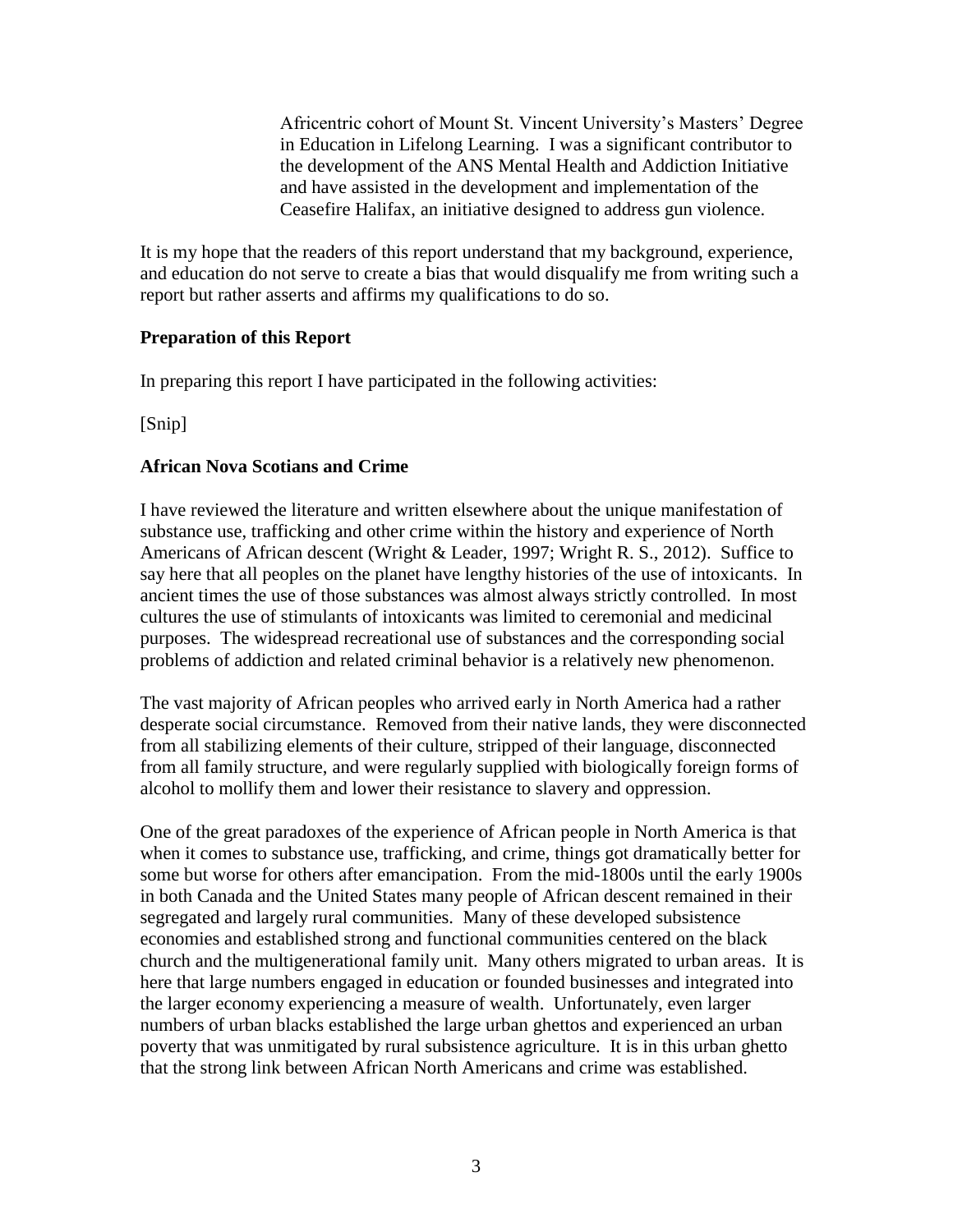Africentric cohort of Mount St. Vincent University's Masters' Degree in Education in Lifelong Learning. I was a significant contributor to the development of the ANS Mental Health and Addiction Initiative and have assisted in the development and implementation of the Ceasefire Halifax, an initiative designed to address gun violence.

It is my hope that the readers of this report understand that my background, experience, and education do not serve to create a bias that would disqualify me from writing such a report but rather asserts and affirms my qualifications to do so.

## **Preparation of this Report**

In preparing this report I have participated in the following activities:

[Snip]

#### **African Nova Scotians and Crime**

I have reviewed the literature and written elsewhere about the unique manifestation of substance use, trafficking and other crime within the history and experience of North Americans of African descent (Wright & Leader, 1997; Wright R. S., 2012). Suffice to say here that all peoples on the planet have lengthy histories of the use of intoxicants. In ancient times the use of those substances was almost always strictly controlled. In most cultures the use of stimulants of intoxicants was limited to ceremonial and medicinal purposes. The widespread recreational use of substances and the corresponding social problems of addiction and related criminal behavior is a relatively new phenomenon.

The vast majority of African peoples who arrived early in North America had a rather desperate social circumstance. Removed from their native lands, they were disconnected from all stabilizing elements of their culture, stripped of their language, disconnected from all family structure, and were regularly supplied with biologically foreign forms of alcohol to mollify them and lower their resistance to slavery and oppression.

One of the great paradoxes of the experience of African people in North America is that when it comes to substance use, trafficking, and crime, things got dramatically better for some but worse for others after emancipation. From the mid-1800s until the early 1900s in both Canada and the United States many people of African descent remained in their segregated and largely rural communities. Many of these developed subsistence economies and established strong and functional communities centered on the black church and the multigenerational family unit. Many others migrated to urban areas. It is here that large numbers engaged in education or founded businesses and integrated into the larger economy experiencing a measure of wealth. Unfortunately, even larger numbers of urban blacks established the large urban ghettos and experienced an urban poverty that was unmitigated by rural subsistence agriculture. It is in this urban ghetto that the strong link between African North Americans and crime was established.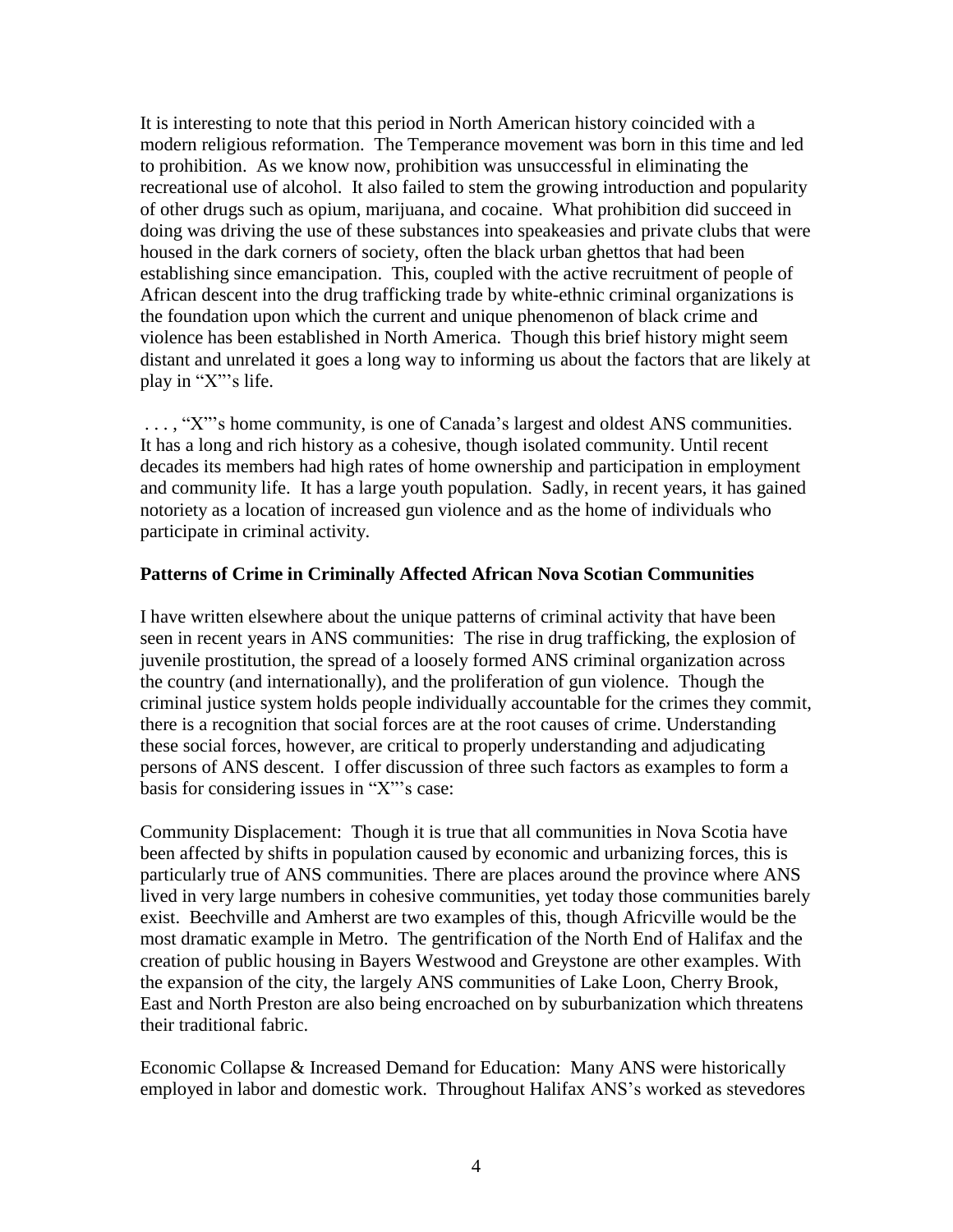It is interesting to note that this period in North American history coincided with a modern religious reformation. The Temperance movement was born in this time and led to prohibition. As we know now, prohibition was unsuccessful in eliminating the recreational use of alcohol. It also failed to stem the growing introduction and popularity of other drugs such as opium, marijuana, and cocaine. What prohibition did succeed in doing was driving the use of these substances into speakeasies and private clubs that were housed in the dark corners of society, often the black urban ghettos that had been establishing since emancipation. This, coupled with the active recruitment of people of African descent into the drug trafficking trade by white-ethnic criminal organizations is the foundation upon which the current and unique phenomenon of black crime and violence has been established in North America. Though this brief history might seem distant and unrelated it goes a long way to informing us about the factors that are likely at play in "X"'s life.

. . . , "X"'s home community, is one of Canada's largest and oldest ANS communities. It has a long and rich history as a cohesive, though isolated community. Until recent decades its members had high rates of home ownership and participation in employment and community life. It has a large youth population. Sadly, in recent years, it has gained notoriety as a location of increased gun violence and as the home of individuals who participate in criminal activity.

#### **Patterns of Crime in Criminally Affected African Nova Scotian Communities**

I have written elsewhere about the unique patterns of criminal activity that have been seen in recent years in ANS communities: The rise in drug trafficking, the explosion of juvenile prostitution, the spread of a loosely formed ANS criminal organization across the country (and internationally), and the proliferation of gun violence. Though the criminal justice system holds people individually accountable for the crimes they commit, there is a recognition that social forces are at the root causes of crime. Understanding these social forces, however, are critical to properly understanding and adjudicating persons of ANS descent. I offer discussion of three such factors as examples to form a basis for considering issues in "X"'s case:

Community Displacement: Though it is true that all communities in Nova Scotia have been affected by shifts in population caused by economic and urbanizing forces, this is particularly true of ANS communities. There are places around the province where ANS lived in very large numbers in cohesive communities, yet today those communities barely exist. Beechville and Amherst are two examples of this, though Africville would be the most dramatic example in Metro. The gentrification of the North End of Halifax and the creation of public housing in Bayers Westwood and Greystone are other examples. With the expansion of the city, the largely ANS communities of Lake Loon, Cherry Brook, East and North Preston are also being encroached on by suburbanization which threatens their traditional fabric.

Economic Collapse & Increased Demand for Education: Many ANS were historically employed in labor and domestic work. Throughout Halifax ANS's worked as stevedores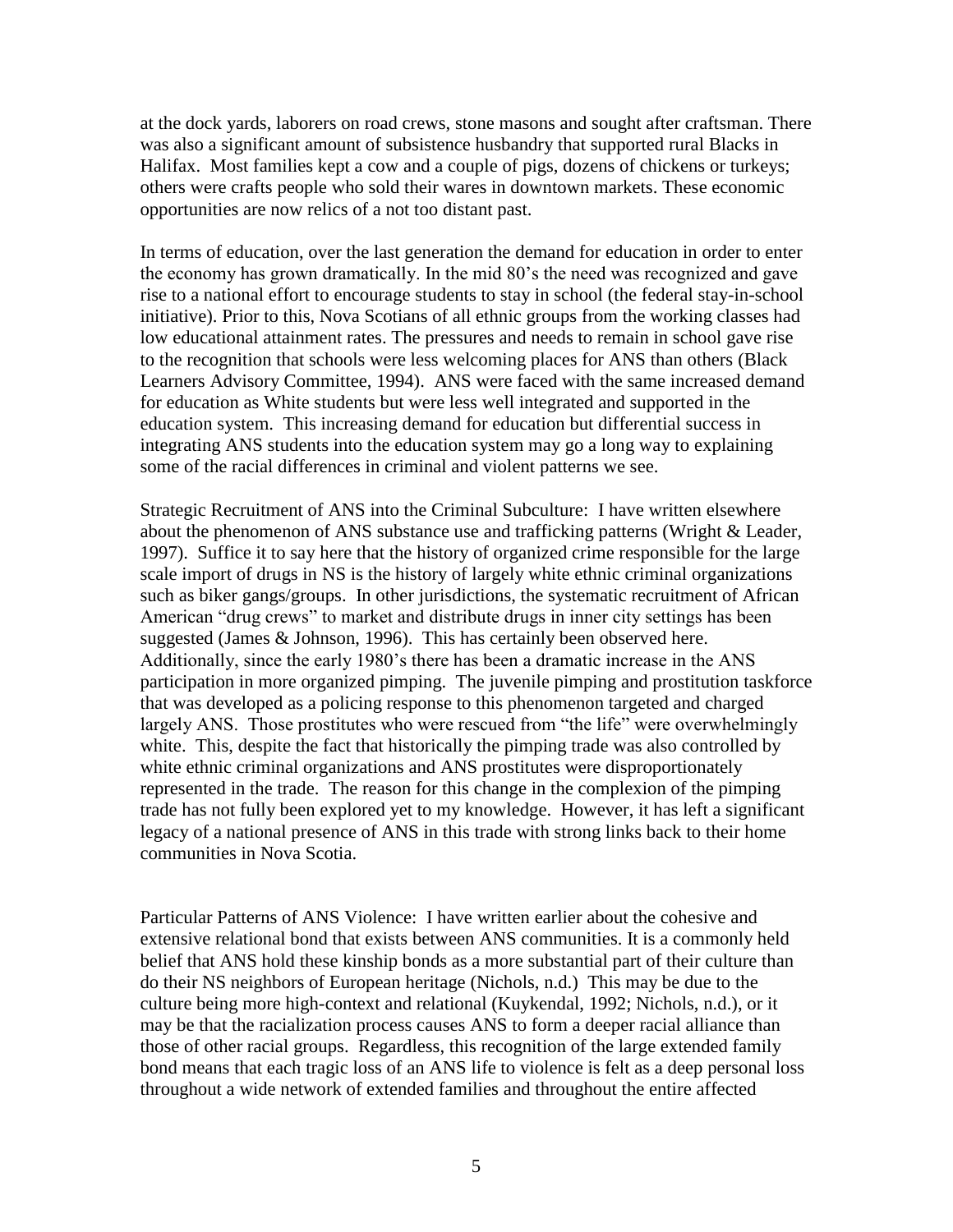at the dock yards, laborers on road crews, stone masons and sought after craftsman. There was also a significant amount of subsistence husbandry that supported rural Blacks in Halifax. Most families kept a cow and a couple of pigs, dozens of chickens or turkeys; others were crafts people who sold their wares in downtown markets. These economic opportunities are now relics of a not too distant past.

In terms of education, over the last generation the demand for education in order to enter the economy has grown dramatically. In the mid 80's the need was recognized and gave rise to a national effort to encourage students to stay in school (the federal stay-in-school initiative). Prior to this, Nova Scotians of all ethnic groups from the working classes had low educational attainment rates. The pressures and needs to remain in school gave rise to the recognition that schools were less welcoming places for ANS than others (Black Learners Advisory Committee, 1994). ANS were faced with the same increased demand for education as White students but were less well integrated and supported in the education system. This increasing demand for education but differential success in integrating ANS students into the education system may go a long way to explaining some of the racial differences in criminal and violent patterns we see.

Strategic Recruitment of ANS into the Criminal Subculture: I have written elsewhere about the phenomenon of ANS substance use and trafficking patterns (Wright & Leader, 1997). Suffice it to say here that the history of organized crime responsible for the large scale import of drugs in NS is the history of largely white ethnic criminal organizations such as biker gangs/groups. In other jurisdictions, the systematic recruitment of African American "drug crews" to market and distribute drugs in inner city settings has been suggested (James & Johnson, 1996). This has certainly been observed here. Additionally, since the early 1980's there has been a dramatic increase in the ANS participation in more organized pimping. The juvenile pimping and prostitution taskforce that was developed as a policing response to this phenomenon targeted and charged largely ANS. Those prostitutes who were rescued from "the life" were overwhelmingly white. This, despite the fact that historically the pimping trade was also controlled by white ethnic criminal organizations and ANS prostitutes were disproportionately represented in the trade. The reason for this change in the complexion of the pimping trade has not fully been explored yet to my knowledge. However, it has left a significant legacy of a national presence of ANS in this trade with strong links back to their home communities in Nova Scotia.

Particular Patterns of ANS Violence: I have written earlier about the cohesive and extensive relational bond that exists between ANS communities. It is a commonly held belief that ANS hold these kinship bonds as a more substantial part of their culture than do their NS neighbors of European heritage (Nichols, n.d.) This may be due to the culture being more high-context and relational (Kuykendal, 1992; Nichols, n.d.), or it may be that the racialization process causes ANS to form a deeper racial alliance than those of other racial groups. Regardless, this recognition of the large extended family bond means that each tragic loss of an ANS life to violence is felt as a deep personal loss throughout a wide network of extended families and throughout the entire affected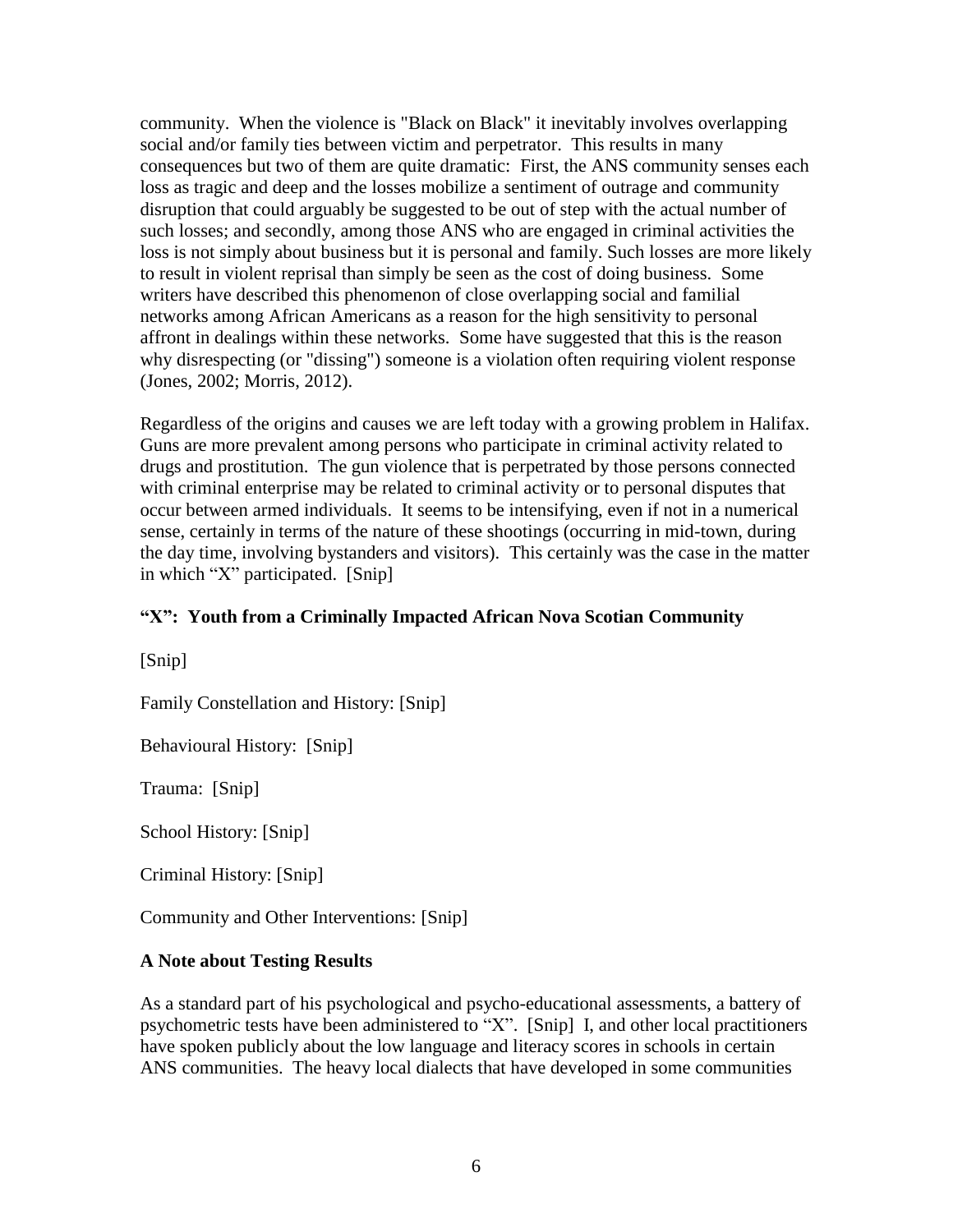community. When the violence is "Black on Black" it inevitably involves overlapping social and/or family ties between victim and perpetrator. This results in many consequences but two of them are quite dramatic: First, the ANS community senses each loss as tragic and deep and the losses mobilize a sentiment of outrage and community disruption that could arguably be suggested to be out of step with the actual number of such losses; and secondly, among those ANS who are engaged in criminal activities the loss is not simply about business but it is personal and family. Such losses are more likely to result in violent reprisal than simply be seen as the cost of doing business. Some writers have described this phenomenon of close overlapping social and familial networks among African Americans as a reason for the high sensitivity to personal affront in dealings within these networks. Some have suggested that this is the reason why disrespecting (or "dissing") someone is a violation often requiring violent response (Jones, 2002; Morris, 2012).

Regardless of the origins and causes we are left today with a growing problem in Halifax. Guns are more prevalent among persons who participate in criminal activity related to drugs and prostitution. The gun violence that is perpetrated by those persons connected with criminal enterprise may be related to criminal activity or to personal disputes that occur between armed individuals. It seems to be intensifying, even if not in a numerical sense, certainly in terms of the nature of these shootings (occurring in mid-town, during the day time, involving bystanders and visitors). This certainly was the case in the matter in which "X" participated. [Snip]

## **"X": Youth from a Criminally Impacted African Nova Scotian Community**

[Snip]

Family Constellation and History: [Snip]

Behavioural History: [Snip]

Trauma: [Snip]

School History: [Snip]

Criminal History: [Snip]

Community and Other Interventions: [Snip]

#### **A Note about Testing Results**

As a standard part of his psychological and psycho-educational assessments, a battery of psychometric tests have been administered to "X". [Snip] I, and other local practitioners have spoken publicly about the low language and literacy scores in schools in certain ANS communities. The heavy local dialects that have developed in some communities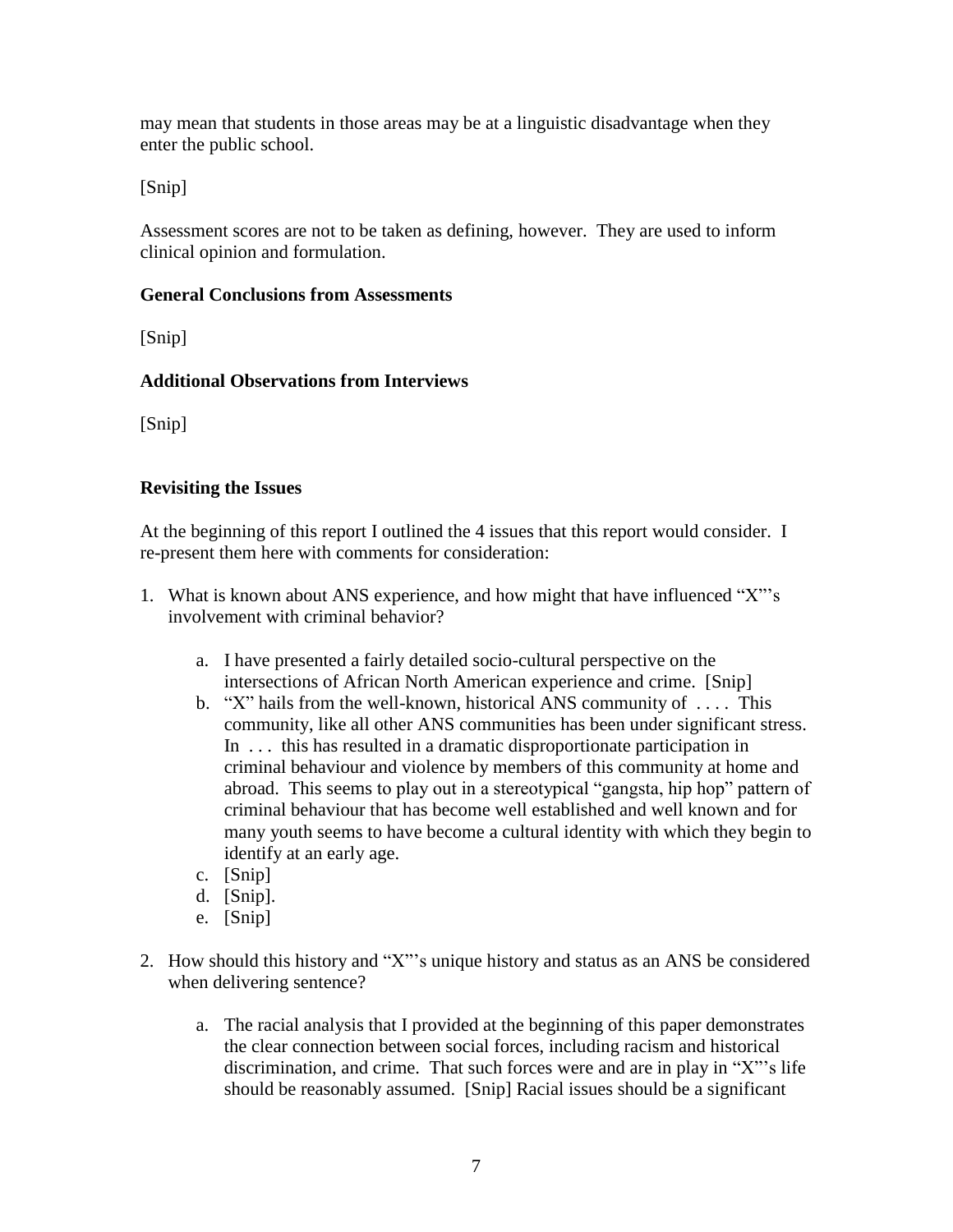may mean that students in those areas may be at a linguistic disadvantage when they enter the public school.

[Snip]

Assessment scores are not to be taken as defining, however. They are used to inform clinical opinion and formulation.

## **General Conclusions from Assessments**

[Snip]

# **Additional Observations from Interviews**

[Snip]

# **Revisiting the Issues**

At the beginning of this report I outlined the 4 issues that this report would consider. I re-present them here with comments for consideration:

- 1. What is known about ANS experience, and how might that have influenced "X"'s involvement with criminal behavior?
	- a. I have presented a fairly detailed socio-cultural perspective on the intersections of African North American experience and crime. [Snip]
	- b. "X" hails from the well-known, historical ANS community of . . . . This community, like all other ANS communities has been under significant stress. In . . . this has resulted in a dramatic disproportionate participation in criminal behaviour and violence by members of this community at home and abroad. This seems to play out in a stereotypical "gangsta, hip hop" pattern of criminal behaviour that has become well established and well known and for many youth seems to have become a cultural identity with which they begin to identify at an early age.
	- c. [Snip]
	- d. [Snip].
	- e. [Snip]
- 2. How should this history and "X"'s unique history and status as an ANS be considered when delivering sentence?
	- a. The racial analysis that I provided at the beginning of this paper demonstrates the clear connection between social forces, including racism and historical discrimination, and crime. That such forces were and are in play in "X"'s life should be reasonably assumed. [Snip] Racial issues should be a significant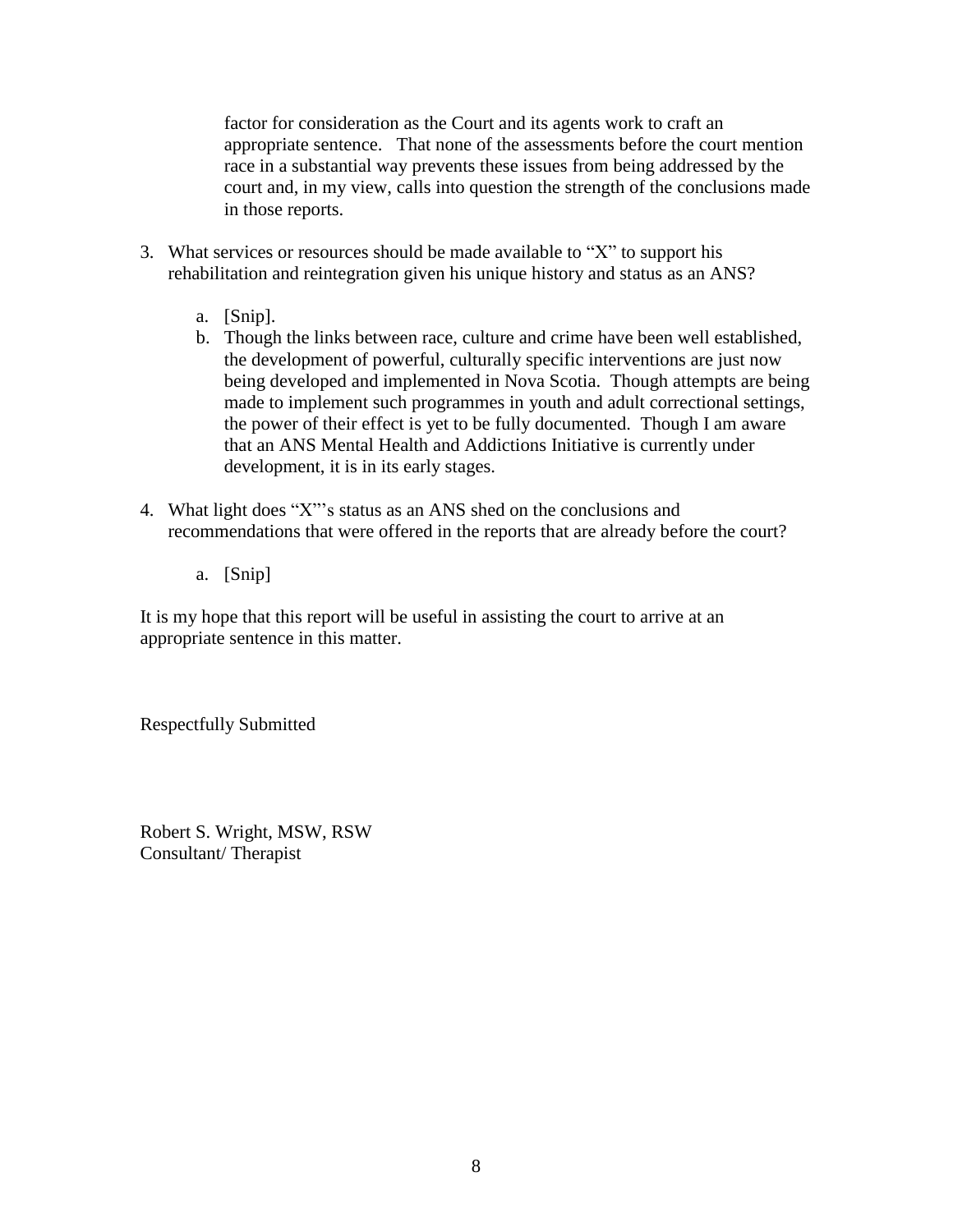factor for consideration as the Court and its agents work to craft an appropriate sentence. That none of the assessments before the court mention race in a substantial way prevents these issues from being addressed by the court and, in my view, calls into question the strength of the conclusions made in those reports.

- 3. What services or resources should be made available to "X" to support his rehabilitation and reintegration given his unique history and status as an ANS?
	- a. [Snip].
	- b. Though the links between race, culture and crime have been well established, the development of powerful, culturally specific interventions are just now being developed and implemented in Nova Scotia. Though attempts are being made to implement such programmes in youth and adult correctional settings, the power of their effect is yet to be fully documented. Though I am aware that an ANS Mental Health and Addictions Initiative is currently under development, it is in its early stages.
- 4. What light does "X"'s status as an ANS shed on the conclusions and recommendations that were offered in the reports that are already before the court?
	- a. [Snip]

It is my hope that this report will be useful in assisting the court to arrive at an appropriate sentence in this matter.

Respectfully Submitted

Robert S. Wright, MSW, RSW Consultant/ Therapist